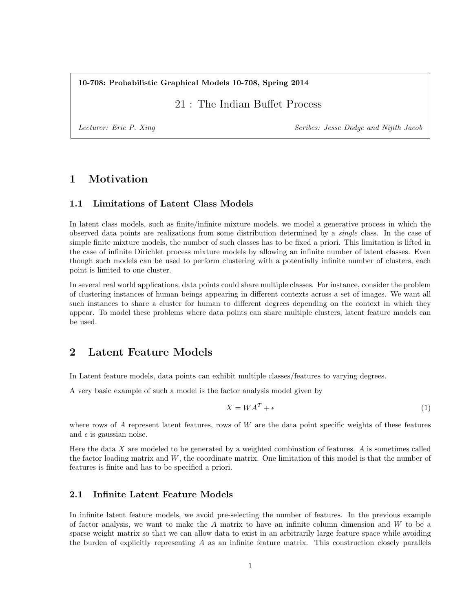10-708: Probabilistic Graphical Models 10-708, Spring 2014

21 : The Indian Buffet Process

Lecturer: Eric P. Xing Scribes: Jesse Dodge and Nijith Jacob

# 1 Motivation

## 1.1 Limitations of Latent Class Models

In latent class models, such as finite/infinite mixture models, we model a generative process in which the observed data points are realizations from some distribution determined by a single class. In the case of simple finite mixture models, the number of such classes has to be fixed a priori. This limitation is lifted in the case of infinite Dirichlet process mixture models by allowing an infinite number of latent classes. Even though such models can be used to perform clustering with a potentially infinite number of clusters, each point is limited to one cluster.

In several real world applications, data points could share multiple classes. For instance, consider the problem of clustering instances of human beings appearing in different contexts across a set of images. We want all such instances to share a cluster for human to different degrees depending on the context in which they appear. To model these problems where data points can share multiple clusters, latent feature models can be used.

# 2 Latent Feature Models

In Latent feature models, data points can exhibit multiple classes/features to varying degrees.

A very basic example of such a model is the factor analysis model given by

$$
X = WA^T + \epsilon \tag{1}
$$

where rows of A represent latent features, rows of W are the data point specific weights of these features and  $\epsilon$  is gaussian noise.

Here the data  $X$  are modeled to be generated by a weighted combination of features.  $A$  is sometimes called the factor loading matrix and  $W$ , the coordinate matrix. One limitation of this model is that the number of features is finite and has to be specified a priori.

## 2.1 Infinite Latent Feature Models

In infinite latent feature models, we avoid pre-selecting the number of features. In the previous example of factor analysis, we want to make the  $A$  matrix to have an infinite column dimension and  $W$  to be a sparse weight matrix so that we can allow data to exist in an arbitrarily large feature space while avoiding the burden of explicitly representing  $A$  as an infinite feature matrix. This construction closely parallels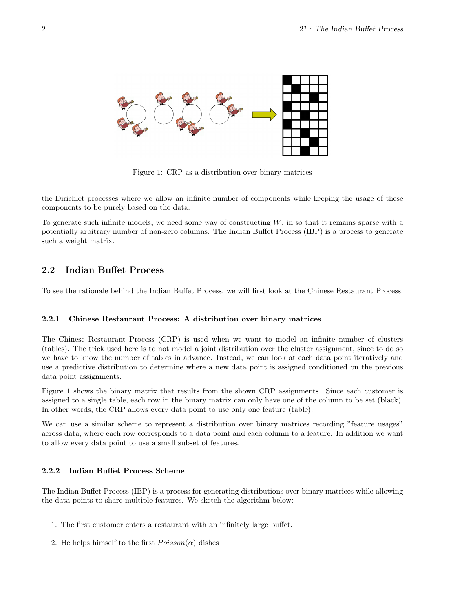

Figure 1: CRP as a distribution over binary matrices

the Dirichlet processes where we allow an infinite number of components while keeping the usage of these components to be purely based on the data.

To generate such infinite models, we need some way of constructing  $W$ , in so that it remains sparse with a potentially arbitrary number of non-zero columns. The Indian Buffet Process (IBP) is a process to generate such a weight matrix.

### 2.2 Indian Buffet Process

To see the rationale behind the Indian Buffet Process, we will first look at the Chinese Restaurant Process.

#### 2.2.1 Chinese Restaurant Process: A distribution over binary matrices

The Chinese Restaurant Process (CRP) is used when we want to model an infinite number of clusters (tables). The trick used here is to not model a joint distribution over the cluster assignment, since to do so we have to know the number of tables in advance. Instead, we can look at each data point iteratively and use a predictive distribution to determine where a new data point is assigned conditioned on the previous data point assignments.

Figure 1 shows the binary matrix that results from the shown CRP assignments. Since each customer is assigned to a single table, each row in the binary matrix can only have one of the column to be set (black). In other words, the CRP allows every data point to use only one feature (table).

We can use a similar scheme to represent a distribution over binary matrices recording "feature usages" across data, where each row corresponds to a data point and each column to a feature. In addition we want to allow every data point to use a small subset of features.

### 2.2.2 Indian Buffet Process Scheme

The Indian Buffet Process (IBP) is a process for generating distributions over binary matrices while allowing the data points to share multiple features. We sketch the algorithm below:

- 1. The first customer enters a restaurant with an infinitely large buffet.
- 2. He helps himself to the first  $Poisson(\alpha)$  dishes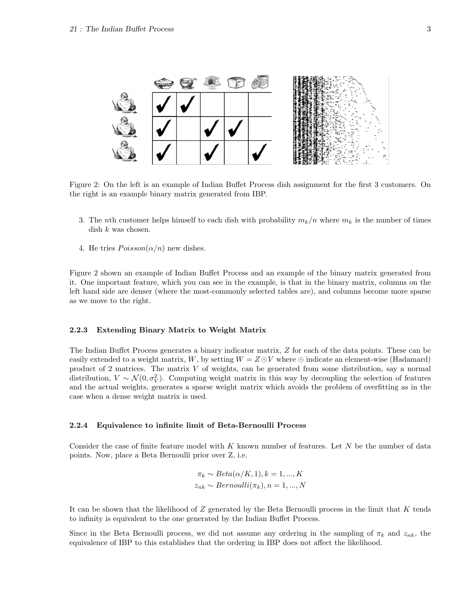

Figure 2: On the left is an example of Indian Buffet Process dish assignment for the first 3 customers. On the right is an example binary matrix generated from IBP.

- 3. The nth customer helps himself to each dish with probability  $m_k/n$  where  $m_k$  is the number of times dish  $k$  was chosen.
- 4. He tries  $Poisson(\alpha/n)$  new dishes.

Figure 2 shown an example of Indian Buffet Process and an example of the binary matrix generated from it. One important feature, which you can see in the example, is that in the binary matrix, columns on the left hand side are denser (where the most-commonly selected tables are), and columns become more sparse as we move to the right.

#### 2.2.3 Extending Binary Matrix to Weight Matrix

The Indian Buffet Process generates a binary indicator matrix, Z for each of the data points. These can be easily extended to a weight matrix, W, by setting  $W = Z \odot V$  where  $\odot$  indicate an element-wise (Hadamard) product of 2 matrices. The matrix V of weights, can be generated from some distribution, say a normal distribution,  $V \sim \mathcal{N}(0, \sigma_V^2)$ . Computing weight matrix in this way by decoupling the selection of features and the actual weights, generates a sparse weight matrix which avoids the problem of overfitting as in the case when a dense weight matrix is used.

#### 2.2.4 Equivalence to infinite limit of Beta-Bernoulli Process

Consider the case of finite feature model with  $K$  known number of features. Let  $N$  be the number of data points. Now, place a Beta Bernoulli prior over Z, i.e.

$$
\pi_k \sim Beta(\alpha/K, 1), k = 1, ..., K
$$

$$
z_{nk} \sim Bernoulli(\pi_k), n = 1, ..., N
$$

It can be shown that the likelihood of  $Z$  generated by the Beta Bernoulli process in the limit that  $K$  tends to infinity is equivalent to the one generated by the Indian Buffet Process.

Since in the Beta Bernoulli process, we did not assume any ordering in the sampling of  $\pi_k$  and  $z_{nk}$ , the equivalence of IBP to this establishes that the ordering in IBP does not affect the likelihood.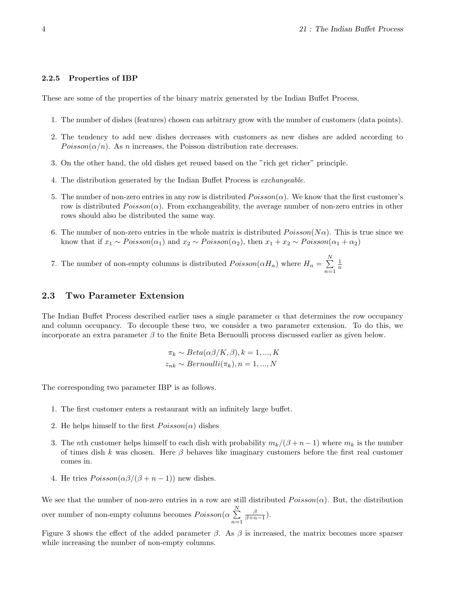#### 2.2.5 Properties of IBP

These are some of the properties of the binary matrix generated by the Indian Buffet Process.

- 1. The number of dishes (features) chosen can arbitrary grow with the number of customers (data points).
- 2. The tendency to add new dishes decreases with customers as new dishes are added according to  $Poisson(\alpha/n)$ . As n increases, the Poisson distribution rate decreases.
- 3. On the other hand, the old dishes get reused based on the "rich get richer" principle.
- 4. The distribution generated by the Indian Buffet Process is exchangeable.
- 5. The number of non-zero entries in any row is distributed  $Poisson(\alpha)$ . We know that the first customer's row is distributed  $Poisson(\alpha)$ . From exchangeability, the average number of non-zero entries in other rows should also be distributed the same way.
- 6. The number of non-zero entries in the whole matrix is distributed  $Poisson(N\alpha)$ . This is true since we know that if  $x_1 \sim Poisson(\alpha_1)$  and  $x_2 \sim Poisson(\alpha_2)$ , then  $x_1 + x_2 \sim Poisson(\alpha_1 + \alpha_2)$
- 7. The number of non-empty columns is distributed  $Poisson(\alpha H_n)$  where  $H_n = \sum_{n=1}^{N}$  $n=1$  $\frac{1}{n}$

## 2.3 Two Parameter Extension

The Indian Buffet Process described earlier uses a single parameter  $\alpha$  that determines the row occupancy and column occupancy. To decouple these two, we consider a two parameter extension. To do this, we incorporate an extra parameter  $\beta$  to the finite Beta Bernoulli process discussed earlier as given below.

$$
\pi_k \sim Beta(\alpha \beta/K, \beta), k = 1, ..., K
$$

$$
z_{nk} \sim Bernoulli(\pi_k), n = 1, ..., N
$$

The corresponding two parameter IBP is as follows.

- 1. The first customer enters a restaurant with an infinitely large buffet.
- 2. He helps himself to the first  $Poisson(\alpha)$  dishes
- 3. The nth customer helps himself to each dish with probability  $m_k/(\beta + n 1)$  where  $m_k$  is the number of times dish k was chosen. Here  $\beta$  behaves like imaginary customers before the first real customer comes in.
- 4. He tries  $Poisson(\alpha\beta/(\beta+n-1))$  new dishes.

We see that the number of non-zero entries in a row are still distributed  $Poisson(\alpha)$ . But, the distribution over number of non-empty columns becomes  $Poisson(\alpha \sum_{n=1}^{N}$  $n=1$  $\frac{\beta}{\beta+n-1}$ ).

Figure 3 shows the effect of the added parameter  $\beta$ . As  $\beta$  is increased, the matrix becomes more sparser while increasing the number of non-empty columns.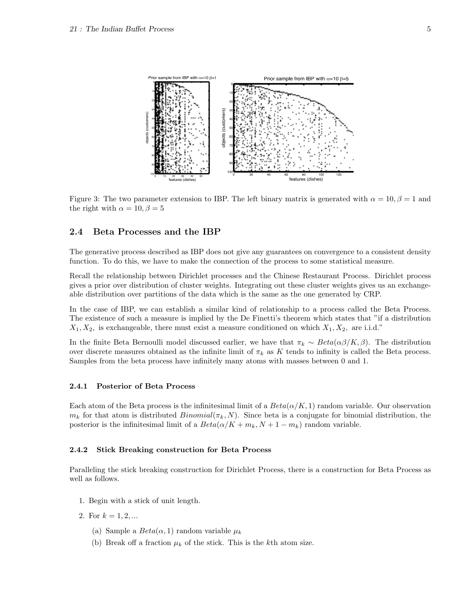

Figure 3: The two parameter extension to IBP. The left binary matrix is generated with  $\alpha = 10, \beta = 1$  and the right with  $\alpha = 10, \beta = 5$ 

### 2.4 Beta Processes and the IBP

The generative process described as IBP does not give any guarantees on convergence to a consistent density function. To do this, we have to make the connection of the process to some statistical measure.

Recall the relationship between Dirichlet processes and the Chinese Restaurant Process. Dirichlet process gives a prior over distribution of cluster weights. Integrating out these cluster weights gives us an exchangeable distribution over partitions of the data which is the same as the one generated by CRP.

In the case of IBP, we can establish a similar kind of relationship to a process called the Beta Process. The existence of such a measure is implied by the De Finetti's theorem which states that "if a distribution  $X_1, X_2$ , is exchangeable, there must exist a measure conditioned on which  $X_1, X_2$ , are i.i.d."

In the finite Beta Bernoulli model discussed earlier, we have that  $\pi_k \sim Beta(\alpha \beta / K, \beta)$ . The distribution over discrete measures obtained as the infinite limit of  $\pi_k$  as K tends to infinity is called the Beta process. Samples from the beta process have infinitely many atoms with masses between 0 and 1.

#### 2.4.1 Posterior of Beta Process

Each atom of the Beta process is the infinitesimal limit of a  $Beta(\alpha/K, 1)$  random variable. Our observation  $m_k$  for that atom is distributed  $Binomial(\pi_k, N)$ . Since beta is a conjugate for binomial distribution, the posterior is the infinitesimal limit of a  $Beta(\alpha/K + m_k, N + 1 - m_k)$  random variable.

#### 2.4.2 Stick Breaking construction for Beta Process

Paralleling the stick breaking construction for Dirichlet Process, there is a construction for Beta Process as well as follows.

- 1. Begin with a stick of unit length.
- 2. For  $k = 1, 2, ...$ 
	- (a) Sample a  $Beta(\alpha, 1)$  random variable  $\mu_k$
	- (b) Break off a fraction  $\mu_k$  of the stick. This is the kth atom size.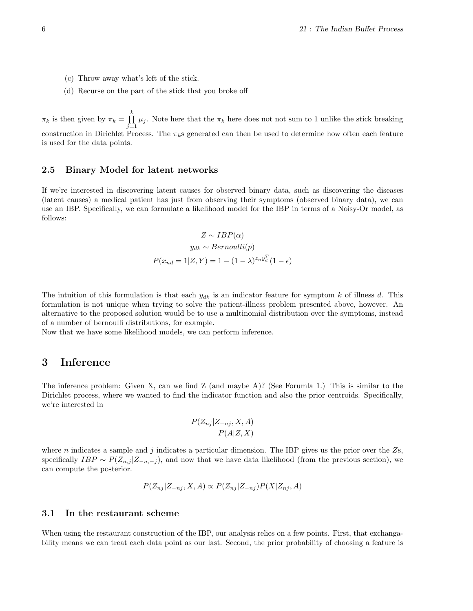- (c) Throw away what's left of the stick.
- (d) Recurse on the part of the stick that you broke off

 $\pi_k$  is then given by  $\pi_k = \prod_k^k \mu_j$ . Note here that the  $\pi_k$  here does not not sum to 1 unlike the stick breaking construction in Dirichlet Process. The  $\pi_k$ s generated can then be used to determine how often each feature is used for the data points.

### 2.5 Binary Model for latent networks

If we're interested in discovering latent causes for observed binary data, such as discovering the diseases (latent causes) a medical patient has just from observing their symptoms (observed binary data), we can use an IBP. Specifically, we can formulate a likelihood model for the IBP in terms of a Noisy-Or model, as follows:

$$
Z \sim IBP(\alpha)
$$

$$
y_{dk} \sim Bernoulli(p)
$$

$$
P(x_{nd} = 1 | Z, Y) = 1 - (1 - \lambda)^{z_n y_d^T} (1 - \epsilon)
$$

The intuition of this formulation is that each  $y_{dk}$  is an indicator feature for symptom k of illness d. This formulation is not unique when trying to solve the patient-illness problem presented above, however. An alternative to the proposed solution would be to use a multinomial distribution over the symptoms, instead of a number of bernoulli distributions, for example.

Now that we have some likelihood models, we can perform inference.

## 3 Inference

The inference problem: Given X, can we find Z (and maybe A)? (See Forumla 1.) This is similar to the Dirichlet process, where we wanted to find the indicator function and also the prior centroids. Specifically, we're interested in

$$
P(Z_{nj}|Z_{-nj}, X, A)
$$

$$
P(A|Z, X)
$$

where n indicates a sample and j indicates a particular dimension. The IBP gives us the prior over the  $Z_s$ , specifically  $IBP \sim P(Z_{n,j} | Z_{-n,-j})$ , and now that we have data likelihood (from the previous section), we can compute the posterior.

$$
P(Z_{nj}|Z_{-nj},X,A) \propto P(Z_{nj}|Z_{-nj})P(X|Z_{nj},A)
$$

### 3.1 In the restaurant scheme

When using the restaurant construction of the IBP, our analysis relies on a few points. First, that exchangability means we can treat each data point as our last. Second, the prior probability of choosing a feature is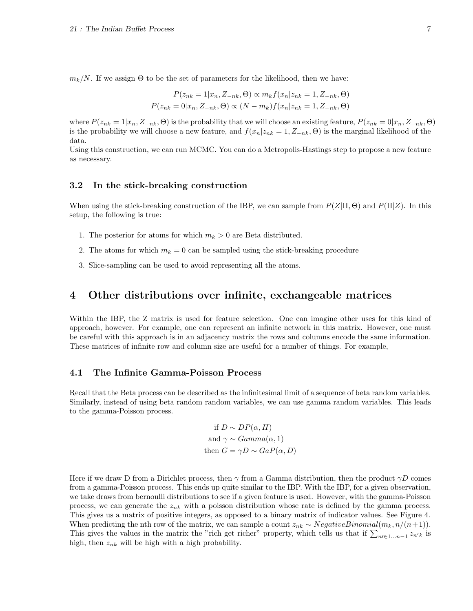$m_k/N$ . If we assign  $\Theta$  to be the set of parameters for the likelihood, then we have:

$$
P(z_{nk} = 1 | x_n, Z_{-nk}, \Theta) \propto m_k f(x_n | z_{nk} = 1, Z_{-nk}, \Theta)
$$
  

$$
P(z_{nk} = 0 | x_n, Z_{-nk}, \Theta) \propto (N - m_k) f(x_n | z_{nk} = 1, Z_{-nk}, \Theta)
$$

where  $P(z_{nk} = 1|x_n, Z_{-nk}, \Theta)$  is the probability that we will choose an existing feature,  $P(z_{nk} = 0|x_n, Z_{-nk}, \Theta)$ is the probability we will choose a new feature, and  $f(x_n|z_{nk} = 1, Z_{-nk}, \Theta)$  is the marginal likelihood of the data.

Using this construction, we can run MCMC. You can do a Metropolis-Hastings step to propose a new feature as necessary.

#### 3.2 In the stick-breaking construction

When using the stick-breaking construction of the IBP, we can sample from  $P(Z|\Pi,\Theta)$  and  $P(\Pi|Z)$ . In this setup, the following is true:

- 1. The posterior for atoms for which  $m_k > 0$  are Beta distributed.
- 2. The atoms for which  $m_k = 0$  can be sampled using the stick-breaking procedure
- 3. Slice-sampling can be used to avoid representing all the atoms.

# 4 Other distributions over infinite, exchangeable matrices

Within the IBP, the Z matrix is used for feature selection. One can imagine other uses for this kind of approach, however. For example, one can represent an infinite network in this matrix. However, one must be careful with this approach is in an adjacency matrix the rows and columns encode the same information. These matrices of infinite row and column size are useful for a number of things. For example,

### 4.1 The Infinite Gamma-Poisson Process

Recall that the Beta process can be described as the infinitesimal limit of a sequence of beta random variables. Similarly, instead of using beta random random variables, we can use gamma random variables. This leads to the gamma-Poisson process.

if 
$$
D \sim DP(\alpha, H)
$$
  
and  $\gamma \sim Gamma(\alpha, 1)$   
then  $G = \gamma D \sim GaP(\alpha, D)$ 

Here if we draw D from a Dirichlet process, then  $\gamma$  from a Gamma distribution, then the product  $\gamma D$  comes from a gamma-Poisson process. This ends up quite similar to the IBP. With the IBP, for a given observation, we take draws from bernoulli distributions to see if a given feature is used. However, with the gamma-Poisson process, we can generate the  $z_{nk}$  with a poisson distribution whose rate is defined by the gamma process. This gives us a matrix of positive integers, as opposed to a binary matrix of indicator values. See Figure 4. When predicting the nth row of the matrix, we can sample a count  $z_{nk} \sim NegativeBinomial(m_k, n/(n+1)).$ This gives the values in the matrix the "rich get richer" property, which tells us that if  $\sum_{n\in\{1...n-1\}} z_{n'}$  is high, then  $z_{nk}$  will be high with a high probability.